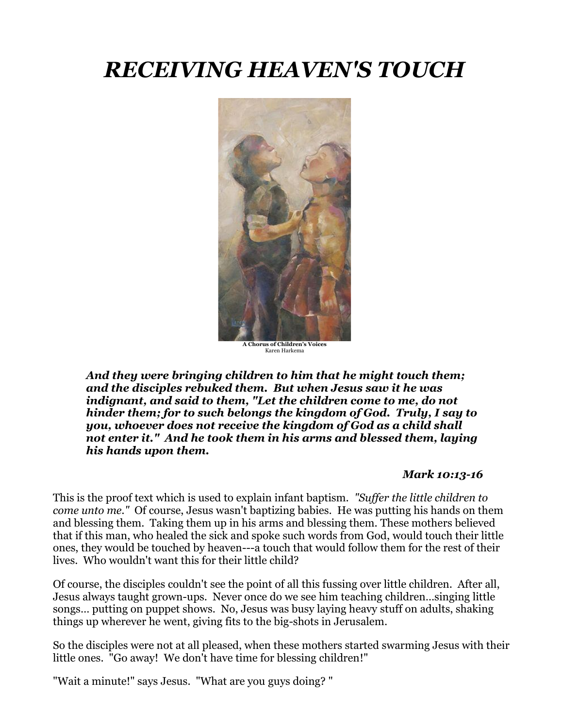# *RECEIVING HEAVEN'S TOUCH*



Karen Harkema

*And they were bringing children to him that he might touch them; and the disciples rebuked them. But when Jesus saw it he was indignant, and said to them, "Let the children come to me, do not hinder them; for to such belongs the kingdom of God. Truly, I say to you, whoever does not receive the kingdom of God as a child shall not enter it." And he took them in his arms and blessed them, laying his hands upon them.*

#### *Mark 10:13-16*

This is the proof text which is used to explain infant baptism. *"Suffer the little children to come unto me."* Of course, Jesus wasn't baptizing babies. He was putting his hands on them and blessing them. Taking them up in his arms and blessing them. These mothers believed that if this man, who healed the sick and spoke such words from God, would touch their little ones, they would be touched by heaven---a touch that would follow them for the rest of their lives. Who wouldn't want this for their little child?

Of course, the disciples couldn't see the point of all this fussing over little children. After all, Jesus always taught grown-ups. Never once do we see him teaching children…singing little songs… putting on puppet shows. No, Jesus was busy laying heavy stuff on adults, shaking things up wherever he went, giving fits to the big-shots in Jerusalem.

So the disciples were not at all pleased, when these mothers started swarming Jesus with their little ones. "Go away! We don't have time for blessing children!"

"Wait a minute!" says Jesus. "What are you guys doing? "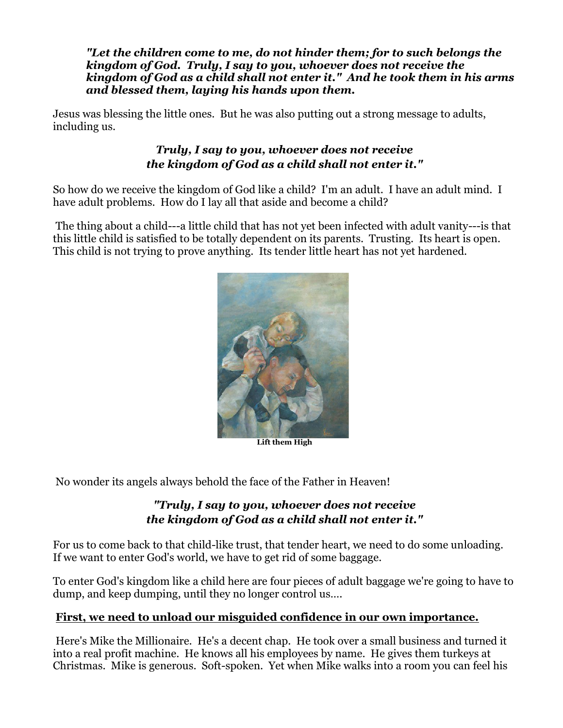*"Let the children come to me, do not hinder them; for to such belongs the kingdom of God. Truly, I say to you, whoever does not receive the kingdom of God as a child shall not enter it." And he took them in his arms and blessed them, laying his hands upon them.*

Jesus was blessing the little ones. But he was also putting out a strong message to adults, including us.

### *Truly, I say to you, whoever does not receive the kingdom of God as a child shall not enter it."*

So how do we receive the kingdom of God like a child? I'm an adult. I have an adult mind. I have adult problems. How do I lay all that aside and become a child?

The thing about a child---a little child that has not yet been infected with adult vanity---is that this little child is satisfied to be totally dependent on its parents. Trusting. Its heart is open. This child is not trying to prove anything. Its tender little heart has not yet hardened.



**Lift them High**

No wonder its angels always behold the face of the Father in Heaven!

### *"Truly, I say to you, whoever does not receive the kingdom of God as a child shall not enter it."*

For us to come back to that child-like trust, that tender heart, we need to do some unloading. If we want to enter God's world, we have to get rid of some baggage.

To enter God's kingdom like a child here are four pieces of adult baggage we're going to have to dump, and keep dumping, until they no longer control us….

### **First, we need to unload our misguided confidence in our own importance.**

Here's Mike the Millionaire. He's a decent chap. He took over a small business and turned it into a real profit machine. He knows all his employees by name. He gives them turkeys at Christmas. Mike is generous. Soft-spoken. Yet when Mike walks into a room you can feel his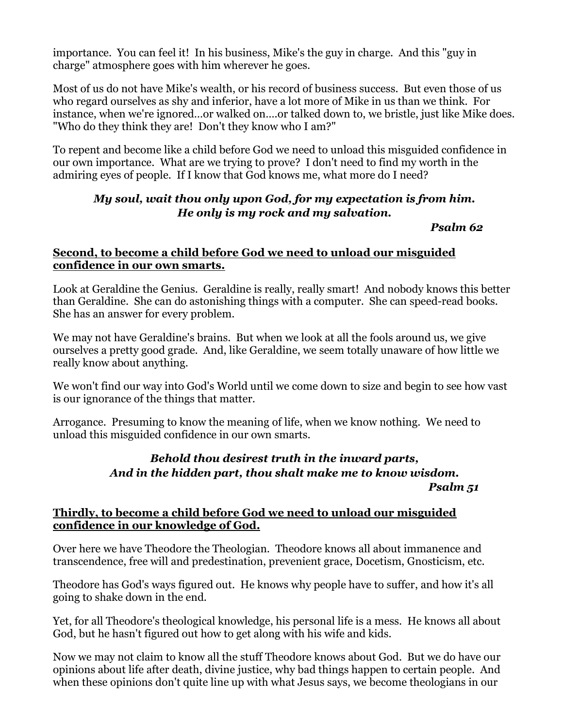importance. You can feel it! In his business, Mike's the guy in charge. And this "guy in charge" atmosphere goes with him wherever he goes.

Most of us do not have Mike's wealth, or his record of business success. But even those of us who regard ourselves as shy and inferior, have a lot more of Mike in us than we think. For instance, when we're ignored…or walked on….or talked down to, we bristle, just like Mike does. "Who do they think they are! Don't they know who I am?"

To repent and become like a child before God we need to unload this misguided confidence in our own importance. What are we trying to prove? I don't need to find my worth in the admiring eyes of people. If I know that God knows me, what more do I need?

### *My soul, wait thou only upon God, for my expectation is from him. He only is my rock and my salvation.*

*Psalm 62*

### **Second, to become a child before God we need to unload our misguided confidence in our own smarts.**

Look at Geraldine the Genius. Geraldine is really, really smart! And nobody knows this better than Geraldine. She can do astonishing things with a computer. She can speed-read books. She has an answer for every problem.

We may not have Geraldine's brains. But when we look at all the fools around us, we give ourselves a pretty good grade. And, like Geraldine, we seem totally unaware of how little we really know about anything.

We won't find our way into God's World until we come down to size and begin to see how vast is our ignorance of the things that matter.

Arrogance. Presuming to know the meaning of life, when we know nothing. We need to unload this misguided confidence in our own smarts.

## *Behold thou desirest truth in the inward parts, And in the hidden part, thou shalt make me to know wisdom.*

*Psalm 51*

### **Thirdly, to become a child before God we need to unload our misguided confidence in our knowledge of God.**

Over here we have Theodore the Theologian. Theodore knows all about immanence and transcendence, free will and predestination, prevenient grace, Docetism, Gnosticism, etc.

Theodore has God's ways figured out. He knows why people have to suffer, and how it's all going to shake down in the end.

Yet, for all Theodore's theological knowledge, his personal life is a mess. He knows all about God, but he hasn't figured out how to get along with his wife and kids.

Now we may not claim to know all the stuff Theodore knows about God. But we do have our opinions about life after death, divine justice, why bad things happen to certain people. And when these opinions don't quite line up with what Jesus says, we become theologians in our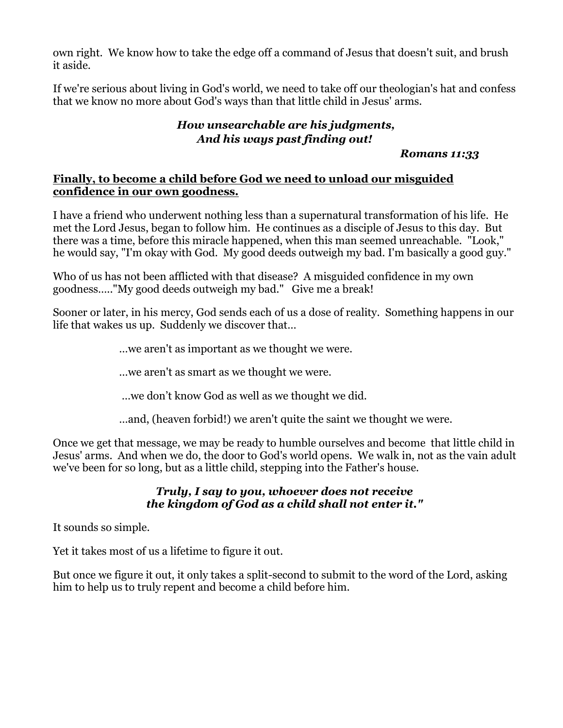own right. We know how to take the edge off a command of Jesus that doesn't suit, and brush it aside.

If we're serious about living in God's world, we need to take off our theologian's hat and confess that we know no more about God's ways than that little child in Jesus' arms.

### *How unsearchable are his judgments, And his ways past finding out!*

### *Romans 11:33*

### **Finally, to become a child before God we need to unload our misguided confidence in our own goodness.**

I have a friend who underwent nothing less than a supernatural transformation of his life. He met the Lord Jesus, began to follow him. He continues as a disciple of Jesus to this day. But there was a time, before this miracle happened, when this man seemed unreachable. "Look," he would say, "I'm okay with God. My good deeds outweigh my bad. I'm basically a good guy."

Who of us has not been afflicted with that disease? A misguided confidence in my own goodness….."My good deeds outweigh my bad." Give me a break!

Sooner or later, in his mercy, God sends each of us a dose of reality. Something happens in our life that wakes us up. Suddenly we discover that…

…we aren't as important as we thought we were.

…we aren't as smart as we thought we were.

…we don't know God as well as we thought we did.

…and, (heaven forbid!) we aren't quite the saint we thought we were.

Once we get that message, we may be ready to humble ourselves and become that little child in Jesus' arms. And when we do, the door to God's world opens. We walk in, not as the vain adult we've been for so long, but as a little child, stepping into the Father's house.

### *Truly, I say to you, whoever does not receive the kingdom of God as a child shall not enter it."*

It sounds so simple.

Yet it takes most of us a lifetime to figure it out.

But once we figure it out, it only takes a split-second to submit to the word of the Lord, asking him to help us to truly repent and become a child before him.